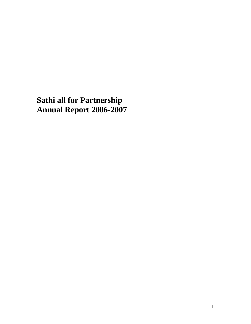**Sathi all for Partnership Annual Report 2006-2007**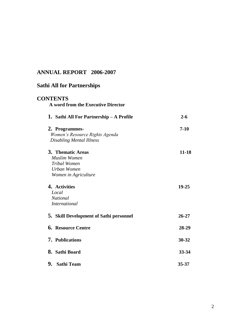## **ANNUAL REPORT 2006-2007**

| <b>Sathi All for Partnerships</b><br><b>CONTENTS</b><br>A word from the Executive Director      |           |
|-------------------------------------------------------------------------------------------------|-----------|
|                                                                                                 |           |
| 2. Programmes-<br>Women's Resource Rights Agenda<br><b>Disabling Mental Illness</b>             | $7-10$    |
| 3. Thematic Areas<br><b>Muslim Women</b><br>Tribal Women<br>Urban Women<br>Women in Agriculture | $11 - 18$ |
| 4. Activities<br>Local<br><b>National</b><br><i>International</i>                               | $19 - 25$ |
| 5. Skill Development of Sathi personnel                                                         | $26 - 27$ |
| <b>6. Resource Centre</b>                                                                       | 28-29     |
| <b>7.</b> Publications                                                                          | $30 - 32$ |
| 8. Sathi Board                                                                                  | 33-34     |
| 9. Sathi Team                                                                                   | $35 - 37$ |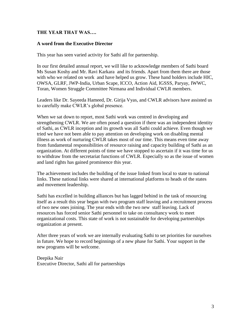#### **THE YEAR THAT WAS….**

#### **A word from the Executive Director**

This year has seen varied activity for Sathi all for partnership.

In our first detailed annual report, we will like to acknowledge members of Sathi board Ms Susan Koshy and Mr. Ravi Karkara and its friends. Apart from them there are those with who we related on work and have helped us grow. These hand holders include HIC, OWSA, GLRF, JWP-India, Urban Scape, ICCO, Action Aid, IGSSS, Paryay, IWWC, Toran, Women Struggle Committee Nirmana and Individual CWLR members.

Leaders like Dr. Sayeeda Hameed, Dr. Girija Vyas, and CWLR advisors have assisted us to carefully make CWLR's global presence.

When we sat down to report, most Sathi work was centred in developing and strengthening CWLR. We are often posed a question if there was an independent identity of Sathi, as CWLR inception and its growth was all Sathi could achieve. Even though we tried we have not been able to pay attention on developing work on disabling mental illness as work of nurturing CWLR takes most of our time. This means even time away from fundamental responsibilities of resource raising and capacity building of Sathi as an organization. At different points of time we have stopped to ascertain if it was time for us to withdraw from the secretariat functions of CWLR. Especially so as the issue of women and land rights has gained prominence this year.

The achievement includes the building of the issue linked from local to state to national links. These national links were shared at international platforms to heads of the states and movement leadership.

Sathi has excelled in building alliances but has lagged behind in the task of resourcing itself as a result this year began with two program staff leaving and a recruitment process of two new ones joining. The year ends with the two new staff leaving. Lack of resources has forced senior Sathi personnel to take on consultancy work to meet organizational costs. This state of work is not sustainable for developing partnerships organization at present.

After three years of work we are internally evaluating Sathi to set priorities for ourselves in future. We hope to record beginnings of a new phase for Sathi. Your support in the new programs will be welcome.

Deepika Nair Executive Director, Sathi all for partnerships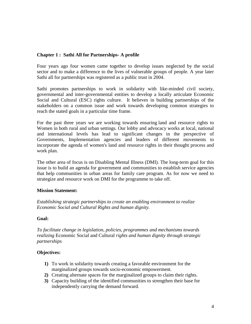## **Chapter 1 : Sathi All for Partnerships- A profile**

Four years ago four women came together to develop issues neglected by the social sector and to make a difference to the lives of vulnerable groups of people. A year later Sathi all for partnerships was registered as a public trust in 2004.

Sathi promotes partnerships to work in solidarity with like-minded civil society, governmental and inter-governmental entities to develop a locally articulate Economic Social and Cultural (ESC) rights culture. It believes in building partnerships of the stakeholders on a common issue and work towards developing common strategies to reach the stated goals in a particular time frame.

For the past three years we are working towards ensuring land and resource rights to Women in both rural and urban settings. Our lobby and advocacy works at local, national and international levels has lead to significant changes in the perspective of Governments, Implementation agencies and leaders of different movements to incorporate the agenda of women's land and resource rights in their thought process and work plan.

The other area of focus is on Disabling Mental Illness (DMI). The long-term goal for this issue is to build an agenda for government and communities to establish service agencies that help communities in urban areas for family care program. As for now we need to strategize and resource work on DMI for the programme to take off.

## **Mission Statement:**

*Establishing strategic partnerships to create an enabling environment to realize Economic Social and Cultural Rights and human dignity.*

## **Goal:**

*To facilitate change in legislation, policies, programmes and mechanisms towards realizing* Economic Social and Cultural *rights and human dignity through strategic partnerships* 

## **Objectives:**

- **1)** To work in solidarity towards creating a favorable environment for the marginalized groups towards socio-economic empowerment.
- **2)** Creating alternate spaces for the marginalized groups to claim their rights.
- **3)** Capacity building of the identified communities to strengthen their base for independently carrying the demand forward.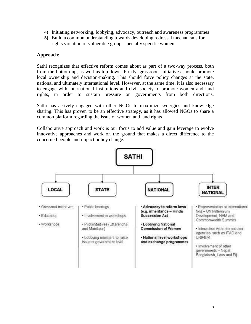- **4)** Initiating networking, lobbying, advocacy, outreach and awareness programmes
- **5)** Build a common understanding towards developing redressal mechanisms for rights violation of vulnerable groups specially specific women

## **Approach:**

Sathi recognizes that effective reform comes about as part of a two-way process, both from the bottom-up, as well as top-down. Firstly, grassroots initiatives should promote local ownership and decision-making. This should force policy changes at the state, national and ultimately international level. However, at the same time, it is also necessary to engage with international institutions and civil society to promote women and land rights, in order to sustain pressure on governments from both directions.

Sathi has actively engaged with other NGOs to maximize synergies and knowledge sharing. This has proven to be an effective strategy, as it has allowed NGOs to share a common platform regarding the issue of women and land rights

Collaborative approach and work is our focus to add value and gain leverage to evolve innovative approaches and work on the ground that makes a direct difference to the concerned people and impact policy change.

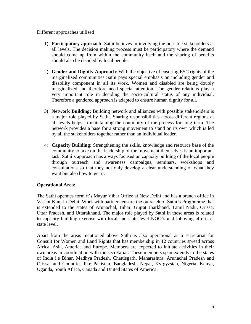Different approaches utilised

- 1) **Participatory approach**: Sathi believes in involving the possible stakeholders at all levels. The decision making process must be participatory where the demand should come up from within the community itself and the sharing of benefits should also be decided by local people.
- 2) **Gender and Dignity Approach**: With the objective of ensuring ESC rights of the marginalized communities Sathi pays special emphasis on including gender and disability component in all its work. Women and disabled are being doubly marginalized and therefore need special attention. The gender relations play a very important role in deciding the socio-cultural status of any individual. Therefore a gendered approach is adapted to ensure human dignity for all.
- **3) Network Building:** Building network and alliances with possible stakeholders is a major role played by Sathi. Sharing responsibilities across different regions at all levels helps in maintaining the continuity of the process for long term. The network provides a base for a strong movement to stand on its own which is led by all the stakeholders together rather than an individual leader.
- 4) **Capacity Building:** Strengthening the skills, knowledge and resource base of the community to take on the leadership of the movement themselves is an important task. Sathi's approach has always focused on capacity building of the local people through outreach and awareness campaigns, seminars, workshops and consultations so that they not only develop a clear understanding of what they want but also how to get it.

## **Operational Area:**

The Sathi operates form it's Mayur Vihar Office at New Delhi and has a branch office in Vasant Kunj in Delhi. Work with partners ensure the outreach of Sathi's Programme that is extended to the states of Arunachal, Bihar, Gujrat Jharkhand, Tamil Nadu, Orissa, Uttar Pradesh, and Uttarakhand. The major role played by Sathi in these areas is related to capacity building exercise with local and state level NGO's and lobbying efforts at state level.

Apart from the areas mentioned above Sathi is also operational as a secretariat for Consult for Women and Land Rights that has membership in 12 countries spread across Africa, Asia, America and Europe. Members are expected to initiate activities in their own areas in coordination with the secretariat. These members span extends to the states of India i.e Bihar, Madhya Pradesh, Chattisgarh, Maharashtra, Arunachal Pradesh and Orissa, and Countries like Pakistan, Bangladesh, Nepal, Kyrgyzstan, Nigeria, Kenya, Uganda, South Africa, Canada and United States of America.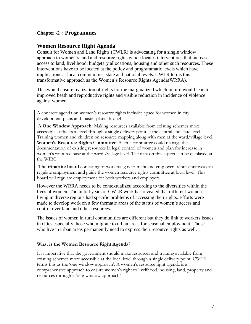## **Chapter -2 : Programmes**

## **Women Resource Right Agenda**

Consult for Women and Land Rights (CWLR) is advocating for a single window approach to women's land and resource rights which locates interventions that increase access to land, livelihood, budgetary allocations, housing and other such resources. These interventions have to be located at the policy and programmatic levels which have implications at local communities, state and national levels. CWLR terms this transformative approach as the Women's Resource Rights Agenda(WRRA).

This would ensure realization of rights for the marginalized which in turn would lead to improved heath and reproductive rights and visible reduction in incidence of violence against women.

A concrete agenda on women's resource rights includes space for women in city development plans and master plans through:

**A One Window Approach:** Making resources available from existing schemes more accessible at the local level through a single delivery point at the central and state level. Training women and children on resource mapping along with men at the ward/village level. **Women's Resource Rights Committee:** Such a committee could manage the documentation of existing resources in legal control of women and plan for increase in women's resource base at the ward /village level. The data on this aspect can be displayed at the WIRC

**The tripartite board** consisting of workers, government and employers representatives can regulate employment and guide the women resource rights committee at local level. This board will regulate employment for both workers and employers.

However the WRRA needs to be contextualized according to the diversities within the lives of women. The initial years of CWLR work has revealed that different women living in diverse regions had specific problems of accessing their rights. Efforts were made to develop work on a few thematic areas of the status of women's access and control over land and other resources.

The issues of women in rural communities are different but they do link to workers issues in cities especially those who migrate to urban areas for seasonal employment. Those who live in urban areas permanently need to express their resource rights as well.

#### **What is the Women Resource Right Agenda?**

It is imperative that the government should make resources and training available from existing schemes more accessible at the local level through a single delivery point. CWLR terms this as the 'one-window approach'. A women's resource right agenda is a comprehensive approach to ensure women's right to livelihood, housing, land, property and resources through a 'one-window approach'.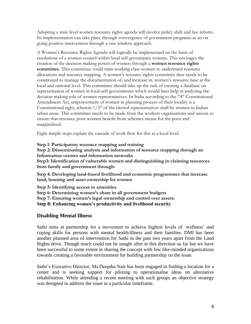Adopting a state level women resource rights agenda will involve policy shift and law reform. Its implementation can take place through convergence of government programs as an on going positive intervention through a one window approach.

A Women's Resource Rights Agenda will logically be implemented on the basis of resolutions of a women council within local self-governance systems. This envisages the creation of the decision making power of women through a **women resource rights committee**. This committee could train working class women to understand resource allocations and resource mapping. A women's resource rights committee thus needs to be constituted to manage the documentation of, and increase in, women's resource base at the local and national level. This committee should take up the task of creating a database on representation of women in local-self governments which would later help in analysing the decision making role of women representatives. In India according to the 74<sup>th</sup> Constitutional Amendment Act, empowerment of women in planning process of their locality is a Constitutional right, wherein  $1/3<sup>rd</sup>$  of the elected representatives shall be women in Indian urban areas. This committee needs to be made from the workers organisations and unions to ensure that resource poor women benefit from schemes meant for the poor and marginalised.

Eight simple steps explain the cascade of work flow for this at a local level.

#### **Step 1**: **Participatory resource mapping and training**

**Step 2: Disseminating analysis and information of resource mapping through an Information centres and information networks** 

**Step3: Identification of vulnerable women and distinguishing in claiming resources from family and government through:**

**Step 4: Developing land-based livelihood and economic programmes that increase land, housing and asset ownership for women**

**Step 5: Identifying access to amenities Step 6: Determining women's share in all government budgets Step 7: Ensuring women's legal ownership and control over assets: Step 8: Enhancing women's productivity and livelihood security**

## **Disabling Mental Illness**

Sathi aims at partnership for a movement to achieve highest levels of `wellness' and coping skills for persons with mental health/illness and their families. DMI has been another planned area of intervention for Sathi in the past two years apart from the Land Rights drive. Though much could not be sought after in this direction so far but we have been successful to some extent in sharing the concept with few like-minded organizations towards creating a favorable environment for building partnership on the issue.

Sathi's Executive Director, Ms.Deepika Nair has been engaged in finding a location for a center and is seeking support for piloting to operationalise ideas on alternative rehabilitation. While attending a recent meeting with such groups an objective strategy was designed to address the issue in a particular timeframe.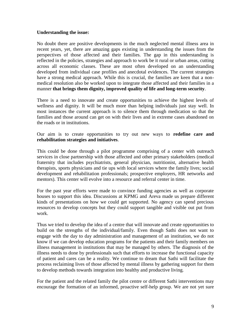#### **Understanding the issue:**

No doubt there are positive developments in the much neglected mental illness area in recent years, yet, there are amazing gaps existing in understanding the issues from the perspectives of those affected and their families. The gap in this understanding is reflected in the policies, strategies and approach to work be it rural or urban areas, cutting across all economic classes. These are most often developed on an understanding developed from individual case profiles and anecdotal evidences. The current strategies have a strong medical approach. While this is crucial, the families are keen that a nonmedical resolution also be worked upon to integrate those affected and their families in a manner **that brings them dignity, improved quality of life and long-term security**.

There is a need to innovate and create opportunities to achieve the highest levels of wellness and dignity. It will be much more than helping individuals just stay well. In most instances the current approach is to silence them through medication so that the families and those around can get on with their lives and in extreme cases abandoned on the roads or in institutions.

Our aim is to create opportunities to try out new ways to **redefine care and rehabilitation strategies and initiatives**.

This could be done through a pilot programme comprising of a center with outreach services in close partnership with those affected and other primary stakeholders (medical fraternity that includes psychiatrists, general physician, nutritionist, alternative health therapists, sports physicians and tie ups with local services where the family lives; social development and rehabilitation professionals; prospective employers, HR networks and mentors). This center will evolve into a resource and referral center in time.

For the past year efforts were made to convince funding agencies as well as corporate houses to support this idea. Discussions at KPMG and Areva made us prepare different kinds of presentations on how we could get supported. No agency can spend precious resources to develop concepts but they could support tangible and visible out put from work.

Thus we tried to develop the idea of a centre that will innovate and create opportunities to build on the strengths of the individual/family. Even though Sathi does not want to engage with the day to day administration and management of an institution, we do not know if we can develop education programs for the patients and their family members on illness management in institutions that may be managed by others. The diagnosis of the illness needs to done by professionals such that efforts to increase the functional capacity of patient and cares can be a reality. We continue to dream that Sathi will facilitate the process reclaiming lives of those affected by mental illness by gathering support for them to develop methods towards integration into healthy and productive living.

For the patient and the related family the pilot centre or different Sathi interventions may encourage the formation of an informed, proactive self-help group. We are not yet sure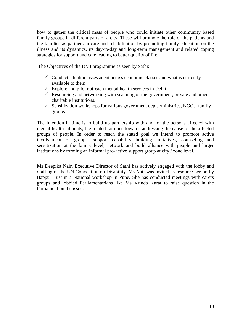how to gather the critical mass of people who could initiate other community based family groups in different parts of a city. These will promote the role of the patients and the families as partners in care and rehabilitation by promoting family education on the illness and its dynamics, its day-to-day and long-term management and related coping strategies for support and care leading to better quality of life.

The Objectives of the DMI programme as seen by Sathi:

- $\checkmark$  Conduct situation assessment across economic classes and what is currently available to them
- $\checkmark$  Explore and pilot outreach mental health services in Delhi
- $\checkmark$  Resourcing and networking with scanning of the government, private and other charitable institutions.
- $\checkmark$  Sensitization workshops for various government depts./ministries, NGOs, family groups

The Intention in time is to build up partnership with and for the persons affected with mental health ailments, the related families towards addressing the cause of the affected groups of people. In order to reach the stated goal we intend to promote active involvement of groups, support capability building initiatives, counseling and sensitization at the family level, network and build alliance with people and larger institutions by forming an informal pro-active support group at city / zone level.

Ms Deepika Nair, Executive Director of Sathi has actively engaged with the lobby and drafting of the UN Convention on Disability. Ms Nair was invited as resource person by Bappu Trust in a National workshop in Pune. She has conducted meetings with carers groups and lobbied Parliamentarians like Ms Vrinda Karat to raise question in the Parliament on the issue.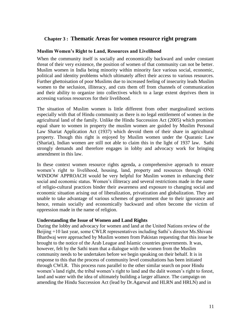## **Chapter 3 : Thematic Areas for women resource right program**

#### **Muslim Women's Right to Land, Resources and Livelihood**

When the community itself is socially and economically backward and under constant threat of their very existence, the position of women of that community can not be better. Muslim women in India being minority within minority face various social, economic, political and identity problems which ultimately affect their access to various resources. Further ghettoisation of poor Muslims due to increased feeling of insecurity leads Muslim women to the seclusion, illiteracy, and cuts them off from channels of communication and their ability to organize into collectives which to a large extent deprives them in accessing various resources for their livelihood.

The situation of Muslim women is little different from other marginalized sections especially with that of Hindu community as there is no legal entitlement of women in the agricultural land of the family. Unlike the Hindu Succession Act (2005) which promises equal share to women in property the muslim women are guided by Muslim Personal Law Shariat Application Act (1937) which devoid them of their share in agricultural property. Though this right is enjoyed by Muslim women under the Quaranic Law (Shariat), Indian women are still not able to claim this in the light of 1937 law. Sathi strongly demands and therefore engages in lobby and advocacy work for bringing amendment in this law.

In these context women resource rights agenda, a comprehensive approach to ensure women's right to livelihood, housing, land, property and resources through ONE WINDOW APPROACH would be very helpful for Muslim women in enhancing their social and economic status. Women's illiteracy and several restrictions made in the name of religio-cultural practices binder their awareness and exposure to changing social and economic situation arising out of liberalization, privatization and globalization. They are unable to take advantage of various schemes of government due to their ignorance and hence, remain socially and economically backward and often become the victim of oppression made in the name of religion.

#### **Understanding the Issue of Women and Land Rights**

During the lobby and advocacy for women and land at the United Nations review of the Beijing +10 last year, some CWLR representatives including Sathi's director Ms.Shivani Bhardwaj were approached by Muslim women from Pakistan requesting that this issue be brought to the notice of the Arab League and Islamic countries governments. It was, however, felt by the Sathi team that a dialogue with the women from the Muslim community needs to be undertaken before we begin speaking on their behalf. It is in response to this that the process of community level consultations has been initiated through CWLR. This process runs parallel to the other similar search on poor Hindu women's land right, the tribal women's right to land and the dalit women's right to forest, land and water with the idea of ultimately building a larger alliance. The campaign on amending the Hindu Succession Act (lead by Dr.Agarwal and HLRN and HRLN) and in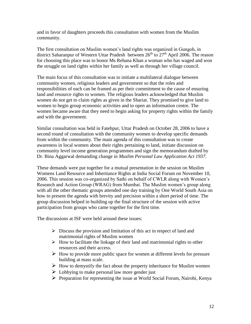and in favor of daughters proceeds this consultation with women from the Muslim community.

The first consultation on Muslim women's land rights was organized in Gungoh, in district Saharanpur of Western Uttar Pradesh between  $26<sup>th</sup>$  to  $27<sup>th</sup>$  April 2006. The reason for choosing this place was to honor Ms Rehana Khan a woman who has waged and won the struggle on land rights within her family as well as through her village council.

The main focus of this consultation was to initiate a multilateral dialogue between community women, religious leaders and government so that the roles and responsibilities of each can be framed as per their commitment to the cause of ensuring land and resource rights to women. The religious leaders acknowledged that Muslim women do not get to claim rights as given in the Shariat. They promised to give land to women to begin group economic activities and to open an information centre. The women became aware that they need to begin asking for property rights within the family and with the government.

Similar consultation was held in Fatehpur, Uttar Pradesh on October 28, 2006 to have a second round of consultation with the community women to develop specific demands from within the community. The main agenda of this consultation was to create awareness in local women about their rights pertaining to land, initiate discussion on community level income generation programmes and sign the memorandum drafted by Dr. Bina Aggarwal demanding change in *Muslim Personal Law Application Act 1937.*

These demands were put together for a mutual presentation in the session on Muslim Womens Land Resource and Inheritance Rights at India Social Forum on November 10, 2006. This session was co-organized by Sathi on behalf of CWLR along with Women's Research and Action Group (WRAG) from Mumbai. The Muslim women's group along with all the other thematic groups attended one day training by One World South Asia on how to present the agenda with brevity and precision within a short period of time. The group discussion helped in building up the final structure of the session with active participation from groups who came together for the first time.

The discussions at ISF were held around these issues:

- $\triangleright$  Discuss the provision and limitation of this act in respect of land and matrimonial rights of Muslim women
- $\triangleright$  How to facilitate the linkage of their land and matrimonial rights to other resources and their access.
- $\triangleright$  How to provide more public space for women at different levels for pressure building at mass scale.
- $\triangleright$  How to demystify the fact about the property inheritance for Muslim women
- $\triangleright$  Lobbying to make personal law more gender just
- $\triangleright$  Preparation for representing the issue at World Social Forum, Nairobi, Kenya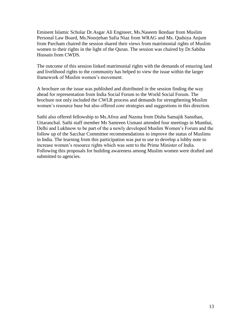Eminent Islamic Scholar Dr.Asgar Ali Engineer, Ms.Naseem Iktedaar from Muslim Personal Law Board, Ms.Noorjehan Safia Niaz from WRAG and Ms. Qudsiya Anjum from Parcham chaired the session shared their views from matrimonial rights of Muslim women to their rights in the light of the Quran. The session was chaired by Dr.Sabiha Hussain from CWDS.

The outcome of this session linked matrimonial rights with the demands of ensuring land and livelihood rights to the community has helped to view the issue within the larger framework of Muslim women's movement.

A brochure on the issue was published and distributed in the session finding the way ahead for representation from India Social Forum to the World Social Forum. The brochure not only included the CWLR process and demands for strengthening Muslim women's resource base but also offered core strategies and suggestions in this direction.

Sathi also offered fellowship to Ms.Afroz and Nazma from Disha Samajik Sansthan, Uttaranchal. Sathi staff member Ms Samreen Usmani attended four meetings in Mumbai, Delhi and Lukhnow to be part of the a newly developed Muslim Women's Forum and the follow up of the Sacchar Committee recommendations to improve the status of Muslims in India. The learning from this participation was put to use to develop a lobby note to increase women's resource rights which was sent to the Prime Minister of India. Following this proposals for building awareness among Muslim women were drafted and submitted to agencies.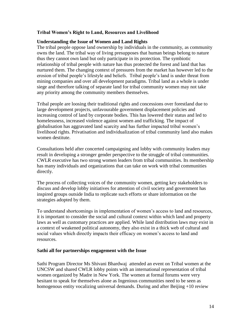### **Tribal Women's Right to Land, Resources and Livelihood**

#### **Understanding the Issue of Women and Land Rights**

The tribal people oppose land ownership by individuals in the community, as community owns the land. The tribal way of living presupposes that human beings belong to nature thus they cannot own land but only participate in its protection. The symbiotic relationship of tribal people with nature has thus protected the forest and land that has nurtured them. The changing context of pressures from the market has however led to the erosion of tribal people's lifestyle and beliefs. Tribal people's land is under threat from mining companies and over all development paradigms. Tribal land as a whole is under siege and therefore talking of separate land for tribal community women may not take any priority among the community members themselves.

Tribal people are loosing their traditional rights and concessions over forestland due to large development projects, unfavourable government displacement policies and increasing control of land by corporate bodies. This has lowered their status and led to homelessness, increased violence against women and trafficking. The impact of globalisation has aggravated land scarcity and has further impacted tribal women's livelihood rights. Privatisation and individualization of tribal community land also makes women destitute.

Consultations held after concerted campaigning and lobby with community leaders may result in developing a stronger gender perspective to the struggle of tribal communities. CWLR executive has two strong women leaders from tribal communities. Its membership has many individuals and organizations that can take on work with tribal communities directly.

The process of collecting voices of the community women, getting key stakeholders to discuss and develop lobby initiatives for attention of civil society and government has inspired groups outside India to replicate such efforts or share information on the strategies adopted by them.

To understand shortcomings in implementation of women's access to land and resources, it is important to consider the social and cultural context within which land and property laws as well as customary practices are applied. While land distribution laws may exist in a context of weakened political autonomy, they also exist in a thick web of cultural and social values which directly impacts their efficacy on women's access to land and resources.

#### **Sathi all for partnerships engagement with the Issue**

Sathi Program Director Ms Shivani Bhardwaj attended an event on Tribal women at the UNCSW and shared CWLR lobby points with an international representation of tribal women organized by Madre in New York. The women at formal forums were very hesitant to speak for themselves alone as Ingenious communities need to be seen as homogenous entity vocalizing universal demands. During and after Beijing +10 review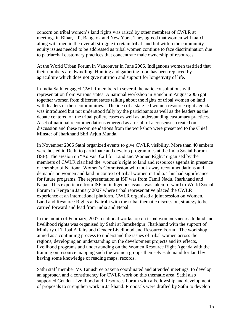concern on tribal women's land rights was raised by other members of CWLR at meetings in Bihar, UP, Bangkok and New York. They agreed that women will march along with men in the over all struggle to retain tribal land but within the community equity issues needed to be addressed as tribal women continue to face discrimination due to patriarchal customary practices that concentrate male ownership of resources.

At the World Urban Forum in Vancouver in June 2006, Indigenous women testified that their numbers are dwindling. Hunting and gathering food has been replaced by agriculture which does not give nutrition and support for longetivity of life.

In India Sathi engaged CWLR members in several thematic consultations with representation from various states. A national workshop in Ranchi in August 2006 got together women from different states talking about the rights of tribal women on land with leaders of their communities. The idea of a state led women resource right agenda was introduced but not understood fully by the participants as well as the leaders as the debate centered on the tribal policy, cases as well as understanding customary practices. A set of national recommendations emerged as a result of a consensus created on discussion and these recommendations from the workshop were presented to the Chief Minster of Jharkhand Shri Arjun Munda.

In November 2006 Sathi organized events to give CWLR visibility. More than 40 embers were hosted in Delhi to participate and develop programmes at the India Social Forum (ISF). The session on "Adivasi Call for Land and Women Right" organised by the members of CWLR clarified the women's right to land and resources agenda in presence of member of National Women's Commission who took away recommendations and demands on women and land in context of tribal women in India. This had significance for future programs. The representation at ISF was from Tamil Nadu, Jharkhand and Nepal. This experience from ISF on indigenous issues was taken forward to World Social Forum in Kenya in January 2007 where tribal representative placed the CWLR experience at an international platform. CWLR organised a joint session on Women, Land and Resource Rights at Nairobi with the tribal thematic discussion, strategy to be carried forward and lead from India and Nepal.

In the month of February, 2007 a national workshop on tribal women's access to land and livelihood rights was organised by Sathi at Jamshedpur, Jharkhand with the support of Ministry of Tribal Affairs and Gender Livelihood and Resource Forum. The workshop aimed as a continuing process to understand the issues of tribal women across the regions, developing an understanding on the development projects and its effects, livelihood programs and understanding on the Women Resource Right Agenda with the training on resource mapping such the women groups themselves demand for land by having some knowledge of reading maps, records.

Sathi staff member Ms Tanushree Saxena coordinated and attended meetings to develop an approach and a constituency for CWLR work on this thematic area. Sathi also supported Gender Livelihood and Resources Forum with a Fellowship and development of proposals to strengthen work in Jarkhand. Proposals were drafted by Sathi to develop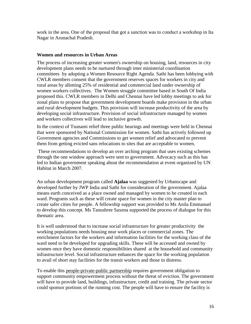work in the area. One of the proposal that got a sanction was to conduct a workshop in Ita Nagar in Arunachal Pradesh.

#### **Women and resources in Urban Areas**

The process of increasing greater women's ownership on housing, land, resources in city development plans needs to be nurtured through inter ministerial coordination committees by adopting a Women Resource Right Agenda. Sathi has been lobbying with CWLR members consent that the government reserves spaces for workers in city and rural areas by allotting 25% of residential and commercial land under ownership of women workers collectives. The Women struggle committee based in South Of India proposed this. CWLR members in Delhi and Chennai have led lobby meetings to ask for zonal plans to propose that government development boards make provision in the urban and rural development budgets. This provision will increase productivity of the area by developing social infrastructure. Provision of social infrastructure managed by women and workers collectives will lead to inclusive growth.

In the context of Tsunami relief three public hearings and meetings were held in Chennai that were sponsored by National Commission for women. Sathi has actively followed up Government agencies and Commissions to get women relief and advocated to prevent them from getting evicted sans relocations to sites that are acceptable to women.

These recommendations to develop an over arching program that uses existing schemes through the one window approach were sent to government. Advocacy such as this has led to Indian government speaking about the recommendation at event organized by UN Habitat in March 2007.

An urban development program called **Ajalaa** was suggested by Urbanscape and developed further by JWP India and Sathi for consideration of the government. Ajalaa means earth conceived as a place owned and managed by women to be created in each ward. Programs such as these will create space for women in the city master plan to create safer cities for people. A fellowship support was provided to Ms Anila Emmanuel to develop this concept. Ms Tanushree Saxena supported the process of dialogue for this thematic area.

It is well understood that to increase social infrastructure for greater productivity the working populations needs housing near work places or commercial zones. The enrichment factors for the workers and information facilities for the working class of the ward need to be developed for upgrading skills. These will be accessed and owned by women once they have domestic responsibilities shared at the household and community infrastructure level. Social infrastructure enhances the space for the working population to avail of short stay facilities for the transit workers and those in distress.

To enable this people-private-public partnership requires government obligation to support community empowerment process without the threat of eviction. The government will have to provide land, buildings, infrastructure, credit and training. The private sector could sponsor portions of the running cost. The people will have to ensure the facility is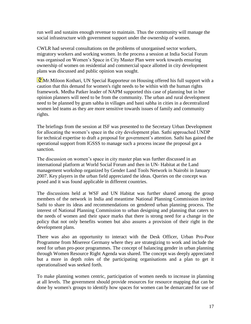run well and sustains enough revenue to maintain. Thus the community will manage the social infrastructure with government support under the ownership of women.

CWLR had several consultations on the problems of unorganised sector workers, migratory workers and working women. In the process a session at India Social Forum was organised on Women's Space in City Master Plan were work towards ensuring ownership of women on residential and commercial space allotted in city development plans was discussed and public opinion was sought.

**Mr.Miloon Kothari, UN Special Rapporteur on Housing offered his full support with a** caution that this demand for women's right needs to be within with the human rights framework. Medha Patker leader of NAPM supported this case of planning but in her opinion planners will need to be from the community. The urban and rural development need to be planned by gram sabha in villages and basti sabha in cities in a decentralized women led teams as they are more sensitive towards issues of family and community rights.

The briefings from the session at ISF was presented to the Secretary Urban Development for allocating the women's space in the city development plan. Sathi approached UNDP for technical expertise to draft a proposal for government's attention. Sathi has gained the operational support from IGSSS to manage such a process incase the proposal got a sanction.

The discussion on women's space in city master plan was further discussed in an international platform at World Social Forum and then in UN- Habitat at the Land management workshop organized by Gender Land Tools Network in Nairobi in January 2007. Key players in the urban field appreciated the ideas. Queries on the concept was posed and it was found applicable in different countries.

The discussions held at WSF and UN Habitat was further shared among the group members of the network in India and meantime National Planning Commission invited Sathi to share its ideas and recommendations on gendered urban planning process. The interest of National Planning Commission to urban designing and planning that caters to the needs of women and their space marks that there is strong need for a change in the policy that not only benefits women but also assures a provision of their right in the development plans.

There was also an opportunity to interact with the Desk Officer, Urban Pro-Poor Programme from Misereor Germany where they are strategizing to work and include the need for urban pro-poor programmes. The concept of balancing gender in urban planning through Women Resource Right Agenda was shared. The concept was deeply appreciated but a more in depth roles of the participating organisations and a plan to get it operationalised was seeked forth.

To make planning women centric, participation of women needs to increase in planning at all levels. The government should provide resources for resource mapping that can be done by women's groups to identify how spaces for women can be demarcated for use of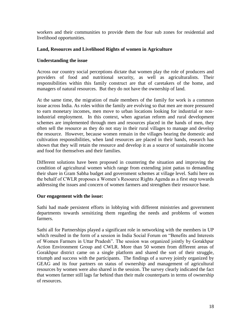workers and their communities to provide them the four sub zones for residential and livelihood opportunities.

### **Land, Resources and Livelihood Rights of women in Agriculture**

#### **Understanding the issue**

Across our country social perceptions dictate that women play the role of producers and providers of food and nutritional security, as well as agriculturalists. Their responsibilities within this family construct are that of caretakers of the home, and managers of natural resources. But they do not have the ownership of land.

At the same time, the migration of male members of the family for work is a common issue across India. As roles within the family are evolving so that men are more pressured to earn monetary incomes, men move to urban locations looking for industrial or nonindustrial employment. In this context, when agrarian reform and rural development schemes are implemented through men and resources placed in the hands of men, they often sell the resource as they do not stay in their rural villages to manage and develop the resource. However, because women remain in the villages bearing the domestic and cultivation responsibilities, when land resources are placed in their hands, research has shown that they will retain the resource and develop it as a source of sustainable income and food for themselves and their families.

Different solutions have been proposed in countering the situation and improving the condition of agricultural women which range from extending joint pattas to demanding their share in Gram Sabha budget and government schemes at village level. Sathi here on the behalf of CWLR proposes a Women's Resource Rights Agenda as a first step towards addressing the issues and concern of women farmers and strengthen their resource base.

#### **Our engagement with the issue:**

Sathi had made persistent efforts in lobbying with different ministries and government departments towards sensitizing them regarding the needs and problems of women farmers.

Sathi all for Partnerships played a significant role in networking with the members in UP which resulted in the form of a session in India Social Forum on "Benefits and Interests of Women Farmers in Uttar Pradesh". The session was organized jointly by Gorakhpur Action Environment Group and CWLR. More than 50 women from different areas of Gorakhpur district came on a single platform and shared the sort of their struggle, triumph and success with the participants. The findings of a survey jointly organized by GEAG and its four partners on status of ownership and management of agricultural resources by women were also shared in the session. The survey clearly indicated the fact that women farmer still lags far behind than their male counterparts in terms of ownership of resources.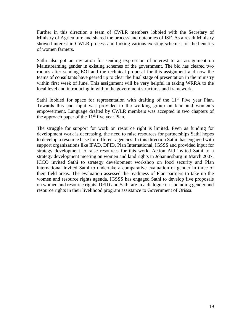Further in this direction a team of CWLR members lobbied with the Secretary of Ministry of Agriculture and shared the process and outcomes of ISF. As a result Ministry showed interest in CWLR process and linking various existing schemes for the benefits of women farmers.

Sathi also got an invitation for sending expression of interest to an assignment on Mainstreaming gender in existing schemes of the government. The bid has cleared two rounds after sending EOI and the technical proposal for this assignment and now the teams of consultants have geared up to clear the final stage of presentation in the ministry within first week of June. This assignment will be very helpful in taking WRRA to the local level and introducing in within the government structures and framework.

Sathi lobbied for space for representation with drafting of the  $11<sup>th</sup>$  Five year Plan. Towards this end input was provided to the working group on land and women's empowerment. Language drafted by CWLR members was accepted in two chapters of the approach paper of the  $11<sup>th</sup>$  five year Plan.

The struggle for support for work on resource right is limited. Even as funding for development work is decreasing, the need to raise resources for partnerships Sathi hopes to develop a resource base for different agencies. In this direction Sathi has engaged with support organizations like IFAD, DFID, Plan International, IGSSS and provided input for strategy development to raise resources for this work. Action Aid invited Sathi to a strategy development meeting on women and land rights in Johannesburg in March 2007, ICCO invited Sathi to strategy development workshop on food security and Plan international invited Sathi to undertake a comparative evaluation of gender in three of their field areas. The evaluation assessed the readiness of Plan partners to take up the women and resource rights agenda. IGSSS has engaged Sathi to develop five proposals on women and resource rights. DFID and Sathi are in a dialogue on including gender and resource rights in their livelihood program assistance to Government of Orissa.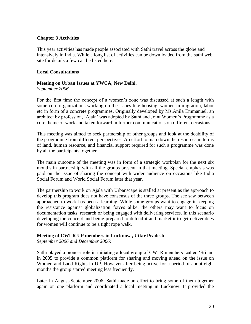#### **Chapter 3 Activities**

This year activities has made people associated with Sathi travel across the globe and intensively in India. While a long list of activities can be down loaded from the sathi web site for details a few can be listed here.

#### **Local Consultations**

# **Meeting on Urban Issues at YWCA, New Delhi.**

*September 2006*

For the first time the concept of a women's zone was discussed at such a length with some core organizations working on the issues like housing, women in migration, labor etc in form of a concrete programmes. Originally developed by Ms.Anila Emmanuel, an architect by profession, 'Ajala' was adopted by Sathi and Joint Women's Programme as a core theme of work and taken forward in further communications on different occasions.

This meeting was aimed to seek partnership of other groups and look at the doability of the programme from different perspectives. An effort to map down the resources in terms of land, human resource, and financial support required for such a programme was done by all the participants together.

The main outcome of the meeting was in form of a strategic workplan for the next six months in partnership with all the groups present in that meeting. Special emphasis was paid on the issue of sharing the concept with wider audience on occasions like India Social Forum and World Social Forum later that year.

The partnership to work on Ajala with Urbanscape is stalled at present as the approach to develop this program does not have consensus of the three groups. The see saw between approached to work has been a learning. While some groups want to engage in keeping the resistance against globalization forces alike, the others may want to focus on documentation tasks, research or being engaged with delivering services. In this scenario developing the concept and being prepared to defend it and market it to get deliverables for women will continue to be a tight rope walk.

## **Meeting of CWLR UP members in Lucknow , Uttar Pradesh**

*September 2006 and December 2006:* 

Sathi played a pioneer role in initiating a local group of CWLR members called 'Srijan' in 2005 to provide a common platform for sharing and moving ahead on the issue on Women and Land Rights in UP. However after being active for a period of about eight months the group started meeting less frequently.

Later in August-September 2006, Sathi made an effort to bring some of them together again on one platform and coordinated a local meeting in Lucknow. It provided the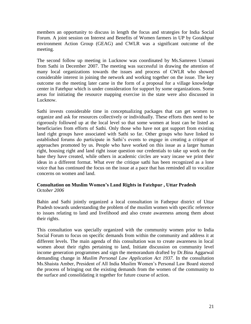members an opportunity to discuss in length the focus and strategies for India Social Forum. A joint session on Interest and Benefits of Women farmers in UP by Gorakhpur environment Action Group (GEAG) and CWLR was a significant outcome of the meeting.

The second follow up meeting in Lucknow was coordinated by Ms.Samreen Usmani from Sathi in December 2007. The meeting was successful in drawing the attention of many local organizations towards the issues and process of CWLR who showed considerable interest in joining the network and working together on the issue. The key outcome on the meeting later came in the form of a proposal for a village knowledge center in Fatehpur which is under consideration for support by some organizations. Some areas for initiating the resource mapping exercise in the state were also discussed in Lucknow.

Sathi invests considerable time in conceptualizing packages that can get women to organize and ask for resources collectively or individually. These efforts then need to be rigorously followed up at the local level so that some women at least can be listed as beneficiaries from efforts of Sathi. Only those who have not got support from existing land right groups have associated with Sathi so far. Other groups who have linked to established forums do participate in Sathi's events to engage in creating a critique of approaches promoted by us. People who have worked on this issue as a larger human right, housing right and land right issue question our credentials to take up work on the base they have created, while others in academic circles are wary incase we print their ideas in a different format. What ever the critique sathi has been recognized as a lone voice that has continued the focus on the issue at a pace that has reminded all to vocalize concerns on women and land.

#### **Consultation on Muslim Women's Land Rights in Fatehpur , Uttar Pradesh** *October 2006*

Bahin and Sathi jointly organized a local consultation in Fathepur district of Uttar Pradesh towards understanding the problem of the muslim women with specific reference to issues relating to land and livelihood and also create awareness among them about their rights.

This consultation was specially organized with the community women prior to India Social Forum to focus on specific demands from within the community and address it at different levels. The main agenda of this consultation was to create awareness in local women about their rights pertaining to land, Initiate discussion on community level income generation programmes and sign the memorandum drafted by Dr.Bina Aggarwal demanding change in *Muslim Personal Law Application Act 1937.* In the consultation Ms.Shaista Amber, President of All India Muslim Women's Personal Law Board steered the process of bringing out the existing demands from the women of the community to the surface and consolidating it together for future course of action.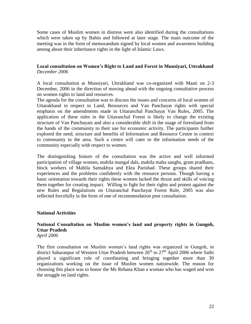Some cases of Muslim women in distress were also identified during the consultations which were taken up by Bahin and followed at later stage. The main outcome of the meeting was in the form of memorandum signed by local women and awareness building among about their inheritance rights in the light of Islamic Laws.

### **Local consultation on Women's Right to Land and Forest in Munsiyari, Uttrakhand** *December 2006*

A local consultation at Munsiyari, Uttrakhand was co-organized with Maati on 2-3 December, 2006 in the direction of moving ahead with the ongoing consultative process on women rights to land and resources.

The agenda for the consultation was to discuss the issues and concerns of local women of Uttarakhand in respect to Land, Resources and Van Panchayat rights with special emphasis on the amendments made in Uttaranchal Panchayat Van Rules, 2005. The application of these rules in the Uttaranchal Forest is likely to change the existing structure of Van Panchayats and also a considerable shift in the usage of forestland from the hands of the community to their use for economic activity. The participants further explored the need, structure and benefits of Information and Resource Centre in context to community in the area. Such a centre will cater to the information needs of the community especially with respect to women.

The distinguishing feature of the consultation was the active and well informed participation of village women, mahila mangal dals, mahila maha sanghs, gram pradhans, block workers of Mahila Samakhya and Ekta Parishad. These groups shared their experiences and the problems confidently with the resource persons. Though having a basic orientation towards their rights these women lacked the thrust and skills of voicing them together for creating impact. Willing to fight for their rights and protest against the new Rules and Regulations on Uttaranchal Panchayat Forest Rule, 2005 was also reflected forcefully in the form of one of recommendation post consultation.

#### **National Activities**

## **National Consultation on Muslim women's land and property rights in Gungoh, Uttar Pradesh**

*April 2006*

The first consultation on Muslim women's land rights was organized in Gungoh, in district Saharanpur of Western Uttar Pradesh between  $26<sup>th</sup>$  to  $27<sup>th</sup>$  April 2006 where Sathi played a significant role of coordinating and bringing together more than 30 organizations working on the issue of Muslim women nationwide. The reason for choosing this place was to honor the Ms Rehana Khan a woman who has waged and won the struggle on land rights.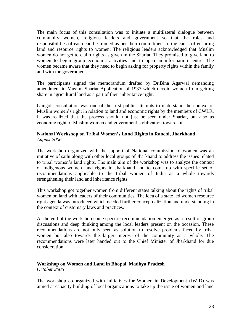The main focus of this consultation was to initiate a multilateral dialogue between community women, religious leaders and government so that the roles and responsibilities of each can be framed as per their commitment to the cause of ensuring land and resource rights to women. The religious leaders acknowledged that Muslim women do not get to claim rights as given in the Shariat. They promised to give land to women to begin group economic activities and to open an information centre. The women became aware that they need to begin asking for property rights within the family and with the government.

The participants signed the memorandum drafted by Dr.Bina Agarwal demanding amendment in Muslim Shariat Application of 1937 which devoid women from getting share in agricultural land as a part of their inheritance right.

Gungoh consultation was one of the first public attempts to understand the context of Muslim women's right in relation to land and economic rights by the members of CWLR. It was realized that the process should not just be seen under Shariat, but also as economic right of Muslim women and government's obligation towards it.

## **National Workshop on Tribal Women's Land Rights in Ranchi, Jharkhand** *August 2006*

The workshop organized with the support of National commission of women was an initiative of sathi along with other local groups of Jharkhand to address the issues related to tribal women's land rights. The main aim of the workshop was to analyze the context of Indigenous women land rights in Jharkhand and to come up with specific set of recommendations applicable to the tribal women of India as a whole towards strengthening their land and inheritance rights.

This workshop got together women from different states talking about the rights of tribal women on land with leaders of their communities. The idea of a state led women resource right agenda was introduced which needed further conceptualization and understanding in the context of customary laws and practices.

At the end of the workshop some specific recommendation emerged as a result of group discussions and deep thinking among the local leaders present on the occasion. These recommendations are not only seen as solution to resolve problems faced by tribal women but also towards the larger interest of the community as a whole. The recommendations were later handed out to the Chief Minister of Jharkhand for due consideration.

#### **Workshop on Women and Land in Bhopal, Madhya Pradesh** *October 2006*

The workshop co-organized with Initiatives for Women in Development (IWID) was aimed at capacity building of local organizations to take up the issue of women and land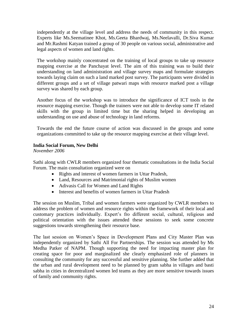independently at the village level and address the needs of community in this respect. Experts like Ms.Seematinee Khot, Ms.Geeta Bhardwaj, Ms.Neelavalli, Dr.Siva Kumar and Mr.Rashmi Katyan trained a group of 30 people on various social, administrative and legal aspects of women and land rights.

The workshop mainly concentrated on the training of local groups to take up resource mapping exercise at the Panchayat level. The aim of this training was to build their understanding on land administration and village survey maps and formulate strategies towards laying claim on such a land marked post survey. The participants were divided in different groups and a set of village patwari maps with resource marked post a village survey was shared by each group.

Another focus of the workshop was to introduce the significance of ICT tools in the resource mapping exercise. Though the trainers were not able to develop some IT related skills with the group in limited time but the sharing helped in developing an understanding on use and abuse of technology in land reforms.

Towards the end the future course of action was discussed in the groups and some organizations committed to take up the resource mapping exercise at their village level.

## **India Social Forum, New Delhi**

*November 2006*

Sathi along with CWLR members organized four thematic consultations in the India Social Forum. The main consultation organized were on

- Rights and interest of women farmers in Uttar Pradesh,
- Land, Resources and Matrimonial rights of Muslim women
- Adivasis Call for Women and Land Rights
- Interest and benefits of women farmers in Uttar Pradesh

The session on Muslim, Tribal and women farmers were organized by CWLR members to address the problem of women and resource rights within the framework of their local and customary practices individually. Expert's fro different social, cultural, religious and political orientation with the issues attended these sessions to seek some concrete suggestions towards strengthening their resource base.

The last session on Women's Space in Development Plans and City Master Plan was independently organized by Sathi All For Partnerships. The session was attended by Ms Medha Patker of NAPM. Though supporting the need for impacting master plan for creating space for poor and marginalized she clearly emphasized role of planners in consulting the community for any successful and sensitive planning. She further added that the urban and rural development need to be planned by gram sabha in villages and basti sabha in cities in decentralized women led teams as they are more sensitive towards issues of family and community rights.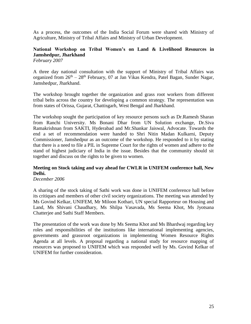As a process, the outcomes of the India Social Forum were shared with Ministry of Agriculture, Ministry of Tribal Affairs and Ministry of Urban Development.

## **National Workshop on Tribal Women's on Land & Livelihood Resources in Jamshedpur, Jharkhand**

*February 2007*

A three day national consultation with the support of Ministry of Tribal Affairs was organized from  $26<sup>th</sup> - 28<sup>th</sup>$  February, 07 at Jan Vikas Kendra, Patel Bagan, Sunder Nagar, Jamshedpur, Jharkhand.

The workshop brought together the organization and grass root workers from different tribal belts across the country for developing a common strategy. The representation was from states of Orissa, Gujarat, Chattisgarh, West Bengal and Jharkhand.

The workshop sought the participation of key resource persons such as Dr.Ramesh Sharan from Ranchi University. Ms Bonani Dhar from UN Solution exchange, Dr.Siva Ramakrishnan from SAKTI, Hyderabad and Mr.Shankar Jaiswal, Advocate. Towards the end a set of recommendation were handed to Shri Nitin Madan Kulkarni, Deputy Commissioner, Jamshedpur as an outcome of the workshop. He responded to it by stating that there is a need to file a PIL in Supreme Court for the rights of women and adhere to the stand of highest judiciary of India in the issue. Besides that the community should sit together and discuss on the rights to be given to women.

## **Meeting on Stock taking and way ahead for CWLR in UNIFEM conference hall, New Delhi.**

*December 2006*

A sharing of the stock taking of Sathi work was done in UNIFEM conference hall before its critiques and members of other civil society organizations. The meeting was attended by Ms Govind Kelkar, UNIFEM, Mr Miloon Kothari, UN special Rapporteur on Housing and Land, Ms Shivani Chaudhary, Ms Shilpa Vasavada, Ms Seema Khot, Ms Jyotsana Chatterjee and Sathi Staff Members.

The presentation of the work was done by Ms Seema Khot and Ms Bhardwaj regarding key roles and responsibilities of the institutions like international implementing agencies, governments and grassroot organizations in implementing Women Resource Rights Agenda at all levels. A proposal regarding a national study for resource mapping of resources was proposed to UNIFEM which was responded well by Ms. Govind Kelkar of UNIFEM for further consideration.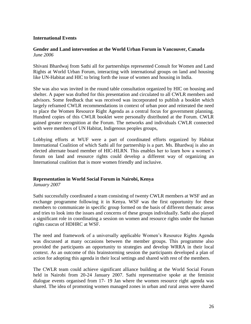#### **International Events**

#### **Gender and Land intervention at the World Urban Forum in Vancouver, Canada** *June 2006*

Shivani Bhardwaj from Sathi all for partnerships represented Consult for Women and Land Rights at World Urban Forum, interacting with international groups on land and housing like UN-Habitat and HIC to bring forth the issue of women and housing in India.

She was also was invited in the round table consultation organized by HIC on housing and shelter. A paper was drafted for this presentation and circulated to all CWLR members and advisors. Some feedback that was received was incorporated to publish a booklet which largely reframed CWLR recommendations in context of urban poor and reiterated the need to place the Women Resource Right Agenda as a central focus for government planning. Hundred copies of this CWLR booklet were personally distributed at the Forum. CWLR gained greater recognition at the Forum. The networks and individuals CWLR connected with were members of UN Habitat, Indigenous peoples groups,

Lobbying efforts at WUF were a part of coordinated efforts organized by Habitat International Coalition of which Sathi all for partnership is a part. Ms. Bhardwaj is also an elected alternate board member of HIC-HLRN. This enables her to learn how a women's forum on land and resource rights could develop a different way of organizing an International coalition that is more women friendly and inclusive.

#### **Representation in World Social Forum in Nairobi, Kenya**

*January 2007*

Sathi successfully coordinated a team consisting of twenty CWLR members at WSF and an exchange programme following it in Kenya. WSF was the first opportunity for these members to communicate in specific group formed on the basis of different thematic areas and tries to look into the issues and concerns of these groups individually. Sathi also played a significant role in coordinating a session on women and resource rights under the human rights caucus of HDHRC at WSF.

The need and framework of a universally applicable Women's Resource Rights Agenda was discussed at many occasions between the member groups. This programme also provided the participants an opportunity to strategies and develop WRRA in their local context. As an outcome of this brainstorming session the participants developed a plan of action for adopting this agenda in their local settings and shared with rest of the members.

The CWLR team could achieve significant alliance building at the World Social Forum held in Nairobi from 20-24 January 2007. Sathi representative spoke at the feminist dialogue events organised from 17- 19 Jan where the women resource right agenda was shared. The idea of promoting women managed zones in urban and rural areas were shared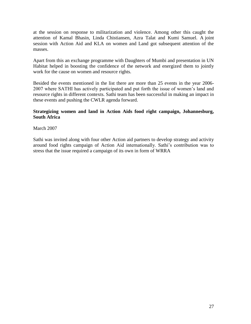at the session on response to militarization and violence. Among other this caught the attention of Kamal Bhasin, Linda Chistiansen, Azra Talat and Kumi Samuel. A joint session with Action Aid and KLA on women and Land got subsequent attention of the masses.

Apart from this an exchange programme with Daughters of Mumbi and presentation in UN Habitat helped in boosting the confidence of the network and energized them to jointly work for the cause on women and resource rights.

Besided the events mentioned in the list there are more than 25 events in the year 2006- 2007 where SATHI has actively participated and put forth the issue of women's land and resource rights in different contexts. Sathi team has been successful in making an impact in these events and pushing the CWLR agenda forward.

## **Strategizing women and land in Action Aids food right campaign, Johannesburg, South Africa**

March 2007

Sathi was invited along with four other Action aid partners to develop strategy and activity around food rights campaign of Action Aid internationally. Sathi's contribution was to stress that the issue required a campaign of its own in form of WRRA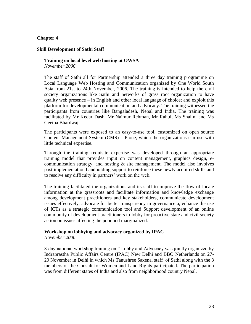#### **Chapter 4**

#### **Skill Development of Sathi Staff**

#### **Training on local level web hosting at OWSA** *November 2006*

The staff of Sathi all for Partnership attended a three day training programme on Local Language Web Hosting and Communication organized by One World South Asia from 21st to 24th November, 2006. The training is intended to help the civil society organizations like Sathi and networks of grass root organization to have quality web presence – in English and other local language of choice; and exploit this platform for developmental communication and advocacy. The training witnessed the participants from countries like Bangaladesh, Nepal and India. The training was facilitated by Mr Kedar Dash, Mr Naimur Rehman, Mr Rahul, Ms Shalini and Ms Geetha Bhardwaj

The participants were exposed to an easy-to-use tool, customized on open source Content Management System (CMS) – Plone, which the organizations can use with little technical expertise.

Through the training requisite expertise was developed through an appropriate training model that provides input on content management, graphics design, ecommunication strategy, and hosting  $\&$  site management. The model also involves post implementation handholding support to reinforce these newly acquired skills and to resolve any difficulty in partners' work on the web.

The training facilitated the organizations and its staff to improve the flow of locale information at the grassroots and facilitate information and knowledge exchange among development practitioners and key stakeholders, communicate development issues effectively, advocate for better transparency in governance a, enhance the use of ICTs as a strategic communication tool and Support development of an online community of development practitioners to lobby for proactive state and civil society action on issues affecting the poor and marginalized.

#### **Workshop on lobbying and advocacy organized by IPAC**

*November 2006*

3-day national workshop training on " Lobby and Advocacy was jointly organized by Indraprastha Public Affairs Centre (IPAC) New Delhi and BBO Netherlands on 27- 29 November in Delhi in which Ms Tanushree Saxena, staff of Sathi along with the 3 members of the Consult for Women and Land Rights participated. The participation was from different states of India and also from neighborhood country Nepal.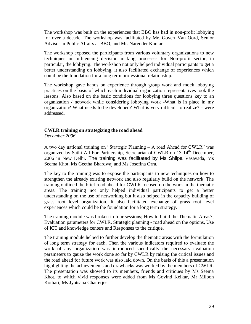The workshop was built on the experiences that BBO has had in non-profit lobbying for over a decade. The workshop was facilitated by Mr. Govert Van Oord, Senior Advisor in Public Affairs at BBO, and Mr. Narender Kumar.

The workshop exposed the participants from various voluntary organizations to new techniques in influencing decision making processes for Non-profit sector, in particular, the lobbying. The workshop not only helped individual participants to get a better understanding on lobbying, it also facilitated exchange of experiences which could be the foundation for a long term professional relationship.

The workshop gave hands on experience through group work and mock lobbying practices on the basis of which each individual organization representatives took the lessons. Also based on the basic conditions for lobbying three questions key to an organization / network while considering lobbying work -What is in place in my organization? What needs to be developed? What is very difficult to realize? - were addressed.

## **CWLR training on strategizing the road ahead**

*December 2006*

A two day national training on "Strategic Planning – A road Ahead for CWLR" was organized by Sathi All For Partnership, Secretariat of CWLR on 13-14<sup>th</sup> December, 2006 in New Delhi. The training was facilitated by Ms Shilpa Vasavada, Ms Seema Khot, Ms Geetha Bhardwaj and Ms Josefina Orra.

The key to the training was to expose the participants to new techniques on how to strengthen the already existing network and also regularly build on the network. The training outlined the brief road ahead for CWLR focused on the work in the thematic areas. The training not only helped individual participants to get a better understanding on the use of networking but it also helped in the capacity building of grass root level organization. It also facilitated exchange of grass root level experiences which could be the foundation for a long term strategy.

The training module was broken in four sessions; How to build the Thematic Areas?, Evaluation parameters for CWLR, Strategic planning - road ahead on the options, Use of ICT and knowledge centers and Responses to the critique.

The training module helped to further develop the thematic areas with the formulation of long term strategy for each. Then the various indicators required to evaluate the work of any organization was introduced specifically the necessary evaluation parameters to gauze the work done so far by CWLR by raising the critical issues and the road ahead for future work was also laid down. On the basis of this a presentation highlighting the achievements and drawbacks was worked by the members of CWLR. The presentation was showed to its members, friends and critiques by Ms Seema Khot, to which vivid responses were added from Ms Govind Kelkar, Mr Miloon Kothari, Ms Jyotsana Chatterjee.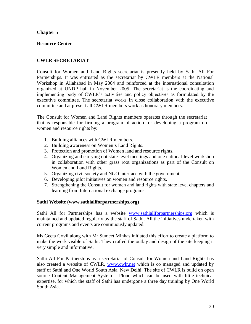## **Chapter 5**

## **Resource Center**

## **CWLR SECRETARIAT**

Consult for Women and Land Rights secretariat is presently held by Sathi All For Partnerships. It was entrusted as the secretariat by CWLR members at the National Workshop in Allahabad in May 2004 and reinforced at the international consultation organized at UNDP hall in November 2005. The secretariat is the coordinating and implementing body of CWLR's activities and policy objectives as formulated by the executive committee. The secretariat works in close collaboration with the executive committee and at present all CWLR members work as honorary members.

The Consult for Women and Land Rights members operates through the secretariat that is responsible for firming a program of action for developing a program on women and resource rights by:

- 1. Building alliances with CWLR members.
- 2. Building awareness on Women's Land Rights.
- 3. Protection and promotion of Women land and resource rights.
- 4. Organizing and carrying out state-level meetings and one national-level workshop in collaboration with other grass root organizations as part of the Consult on Women and Land Rights.
- 5. Organizing civil society and NGO interface with the government.
- 6. Developing pilot initiatives on women and resource rights.
- 7. Strengthening the Consult for women and land rights with state level chapters and learning from International exchange programs.

#### **Sathi Website (www.sathiallforpartnerships.org)**

Sathi All for Partnerships has a website [www.sathiallforpartnerships.org](http://www.sathiallforpartnerships.org/) which is maintained and updated regularly by the staff of Sathi. All the initiatives undertaken with current programs and events are continuously updated.

Ms Geeta Govil along with Mr Sumeet Minhas initiated this effort to create a platform to make the work visible of Sathi. They crafted the outlay and design of the site keeping it very simple and informative.

Sathi All For Partnerships as a secretariat of Consult for Women and Land Rights has also created a website of CWLR, [www.cwlr.net](http://www.cwlr.net/) which is co managed and updated by staff of Sathi and One World South Asia, New Delhi. The site of CWLR is build on open source Content Management System – Plone which can be used with little technical expertise, for which the staff of Sathi has undergone a three day training by One World South Asia.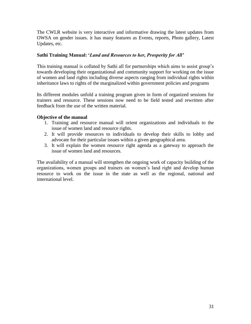The CWLR website is very interactive and informative drawing the latest updates from OWSA on gender issues. it has many features as Events, reports, Photo gallery, Latest Updates, etc.

## **Sathi Training Manual: '***Land and Resources to her, Prosperity for All'*

This training manual is collated by Sathi all for partnerships which aims to assist group's towards developing their organizational and community support for working on the issue of women and land rights including diverse aspects ranging from individual rights within inheritance laws to rights of the marginalized within government policies and programs

Its different modules unfold a training program given in form of organized sessions for trainers and resource. These sessions now need to be field tested and rewritten after feedback from the use of the written material.

## **Objective of the manual**

- 1. Training and resource manual will orient organizations and individuals to the issue of women land and resource rights.
- 2. It will provide resources to individuals to develop their skills to lobby and advocate for their particular issues within a given geographical area.
- 3. It will explain the women resource right agenda as a gateway to approach the issue of women land and resources.

The availability of a manual will strengthen the ongoing work of capacity building of the organizations, women groups and trainers on women's land right and develop human resource to work on the issue in the state as well as the regional, national and international level.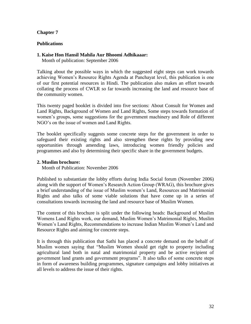## **Chapter 7**

### **Publications**

#### **1. Kaise Hon Hansil Mahila Aur Bhoomi Adhikaaar:**

Month of publication: September 2006

Talking about the possible ways in which the suggested eight steps can work towards achieving Women's Resource Rights Agenda at Panchayat level, this publication is one of our first potential resources in Hindi. The publication also makes an effort towards collating the process of CWLR so far towards increasing the land and resource base of the community women.

This twenty paged booklet is divided into five sections: About Consult for Women and Land Rights, Background of Women and Land Rights, Some steps towards formation of women's groups, some suggestions for the government machinery and Role of different NGO's on the issue of women and Land Rights.

The booklet specifically suggests some concrete steps for the government in order to safeguard their existing rights and also strengthen these rights by providing new opportunities through amending laws, introducing women friendly policies and programmes and also by determining their specific share in the government budgets.

#### **2. Muslim brochure:**

Month of Publication: November 2006

Published to substantiate the lobby efforts during India Social forum (November 2006) along with the support of Women's Research Action Group (WRAG), this brochure gives a brief understanding of the issue of Muslim women's Land, Resources and Matrimonial Rights and also talks of some viable solutions that have come up in a series of consultations towards increasing the land and resource base of Muslim Women.

The content of this brochure is split under the following heads: Background of Muslim Womens Land Rights work, our demand, Muslim Women's Matrimonial Rights, Muslim Women's Land Rights, Recommendations to increase Indian Muslim Women's Land and Resource Rights and aiming for concrete steps.

It is through this publication that Sathi has placed a concrete demand on the behalf of Muslim women saying that "Muslim Women should get right to property including agricultural land both in natal and matrimonial property and be active recipient of government land grants and government programs". It also talks of some concrete steps in form of awareness building programmes, signature campaigns and lobby initiatives at all levels to address the issue of their rights.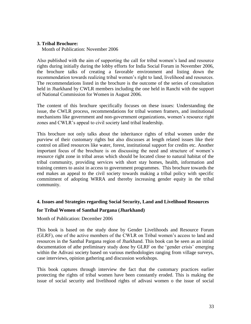## **3. Tribal Brochure:**

Month of Publication: November 2006

Also published with the aim of supporting the call for tribal women's land and resource rights during initially during the lobby efforts for India Social Forum in November 2006, the brochure talks of creating a favorable environment and listing down the recommendation towards realizing tribal women's right to land, livelihood and resources. The recommendations listed in the brochure is the outcome of the series of consultation held in Jharkhand by CWLR members including the one held in Ranchi with the support of National Commission for Women in August 2006.

The content of this brochure specifically focuses on these issues: Understanding the issue, the CWLR process, recommendations for tribal women framers, and institutional mechanisms like government and non-government organizations, women's resource right zones and CWLR's appeal to civil society land tribal leadership.

This brochure not only talks about the inheritance rights of tribal women under the purview of their customary rights but also discusses at length related issues like their control on allied resources like water, forest, institutional support for credits etc. Another important focus of the brochure is on discussing the need and structure of women's resource right zone in tribal areas which should be located close to natural habitat of the tribal community, providing services with short stay homes, health, information and training centers to assist in access to government programmes. This brochure towards the end makes an appeal to the civil society towards making a tribal policy with specific commitment of adopting WRRA and thereby increasing gender equity in the tribal community.

#### **4. Issues and Strategies regarding Social Security, Land and Livelihood Resources**

#### **for Tribal Women of Santhal Pargana (Jharkhand)**

Month of Publication: December 2006

This book is based on the study done by Gender Livelihoods and Resource Forum (GLRF), one of the active members of the CWLR on Tribal women's access to land and resources in the Santhal Pargana region of Jharkhand. This book can be seen as an initial documentation of athe preliminary study done by GLRF on the 'gender crisis' emerging within the Adivasi society based on various methodologies ranging from village surveys, case interviews, opinion gathering and discussion workshops.

This book captures through interview the fact that the customary practices earlier protecting the rights of tribal women have been constantly eroded. This is making the issue of social security and livelihood rights of adivasi women o the issue of social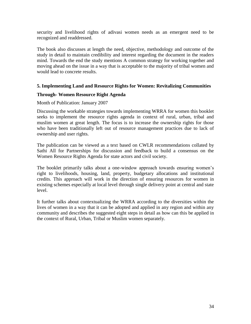security and livelihood rights of adivasi women needs as an emergent need to be recognized and readdressed.

The book also discusses at length the need, objective, methodology and outcome of the study in detail to maintain credibility and interest regarding the document in the readers mind. Towards the end the study mentions A common strategy for working together and moving ahead on the issue in a way that is acceptable to the majority of tribal women and would lead to concrete results.

#### **5. Implementing Land and Resource Rights for Women: Revitalizing Communities**

#### **Through- Women Resource Right Agenda**

#### Month of Publication: January 2007

Discussing the workable strategies towards implementing WRRA for women this booklet seeks to implement the resource rights agenda in context of rural, urban, tribal and muslim women at great length. The focus is to increase the ownership rights for those who have been traditionally left out of resource management practices due to lack of ownership and user rights.

The publication can be viewed as a text based on CWLR recommendations collated by Sathi All for Partnerships for discussion and feedback to build a consensus on the Women Resource Rights Agenda for state actors and civil society.

The booklet primarily talks about a one-window approach towards ensuring women's right to livelihoods, housing, land, property, budgetary allocations and institutional credits. This approach will work in the direction of ensuring resources for women in existing schemes especially at local level through single delivery point at central and state level.

It further talks about contextualizing the WRRA according to the diversities within the lives of women in a way that it can be adopted and applied in any region and within any community and describes the suggested eight steps in detail as how can this be applied in the context of Rural, Urban, Tribal or Muslim women separately.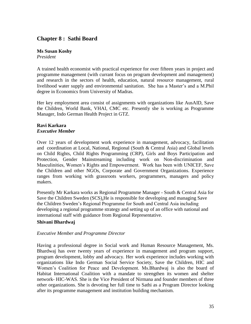## **Chapter 8 : Sathi Board**

# **Ms Susan Koshy**

*President* 

A trained health economist with practical experience for over fifteen years in project and programme management (with currant focus on program development and management) and research in the sectors of health, education, natural resource management, rural livelihood water supply and environmental sanitation. She has a Master's and a M.Phil degree in Economics from University of Madras.

Her key employment area consist of assignments with organizations like AusAID, Save the Children, World Bank, VHAI, CMC etc. Presently she is working as Programme Manager, Indo German Health Project in GTZ.

#### **Ravi Karkara** *Executive Member*

Over 12 years of development work experience in management, advocacy, facilitation and coordination at Local, National, Regional (South & Central Asia) and Global levels on Child Rights, Child Rights Programming (CRP), Girls and Boys Participation and Protection, Gender Mainstreaming including work on Non-discrimination and Masculinities, Women's Rights and Empowerment. Work has been with UNICEF, Save the Children and other NGOs, Corporate and Government Organizations. Experience ranges from working with grassroots workers, programmers, managers and policy makers.

Presently Mr Karkara works as Regional Programme Manager - South & Central Asia for Save the Children Sweden (SCS),He is responsible for developing and managing Save the Children Sweden's Regional Programme for South and Central Asia including developing a regional programme strategy and setting up of an office with national and international staff with guidance from Regional Representative.

## **Shivani Bhardwaj**

## *Executive Member and Programme Director*

Having a professional degree in Social work and Human Resource Management, Ms. Bhardwaj has over twenty years of experience in management and program support, program development, lobby and advocacy. Her work experience includes working with organizations like Indo German Social Service Society, Save the Children, HIC and Women's Coalition for Peace and Development. Ms.Bhardwaj is also the board of Habitat International Coalition with a mandate to strengthen its women and shelter network- HIC-WAS. She is the Vice President of Nirmana and founder members of three other organizations. She is devoting her full time to Sathi as a Program Director looking after its programme management and institution building mechanism.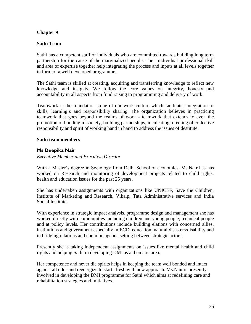## **Chapter 9**

## **Sathi Team**

Sathi has a competent staff of individuals who are committed towards building long term partnership for the cause of the marginalized people. Their individual professional skill and area of expertise together help integrating the process and inputs at all levels together in form of a well developed programme.

The Sathi team is skilled at creating, acquiring and transferring knowledge to reflect new knowledge and insights. We follow the core values on integrity, honesty and accountability in all aspects from fund raising to programming and delivery of work.

Teamwork is the foundation stone of our work culture which facilitates integration of skills, learning's and responsibility sharing. The organization believes in practicing teamwork that goes beyond the realms of work - teamwork that extends to even the promotion of bonding in society, building partnerships, inculcating a feeling of collective responsibility and spirit of working hand in hand to address the issues of destitute.

#### **Sathi team members**

## **Ms Deepika Nair**

*Executive Member and Executive Director*

With a Master's degree in Sociology from Delhi School of economics, Ms.Nair has has worked on Research and monitoring of development projects related to child rights, health and education issues for the past 25 years.

She has undertaken assignments with organizations like UNICEF, Save the Children, Institute of Marketing and Research, Vikalp, Tata Administrative services and India Social Institute.

With experience in strategic impact analysis, programme design and management she has worked directly with communities including children and young people; technical people and at policy levels. Her contributions include building elations with concerned allies, institutions and government especially in ECD, education, natural disasters/disability and in bridging relations and common agenda setting between strategic actors.

Presently she is taking independent assignments on issues like mental health and child rights and helping Sathi in developing DMI as a thematic area.

Her competence and never die spirits helps in keeping the team well bonded and intact against all odds and reenergize to start afresh with new approach. Ms.Nair is presently involved in developing the DMI programme for Sathi which aims at redefining care and rehabilitation strategies and initiatives.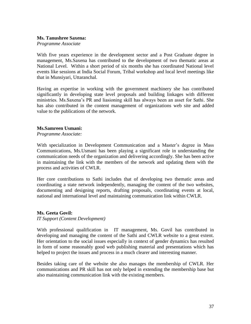#### **Ms. Tanushree Saxena:**

*Programme Associate*

With five years experience in the development sector and a Post Graduate degree in management, Ms.Saxena has contributed to the development of two thematic areas at National Level. Within a short period of six months she has coordinated National level events like sessions at India Social Forum, Tribal workshop and local level meetings like that in Munsiyari, Uttaranchal.

Having an expertise in working with the government machinery she has contributed significantly in developing state level proposals and building linkages with different ministries. Ms.Saxena's PR and liasioning skill has always been an asset for Sathi. She has also contributed in the content management of organizations web site and added value to the publications of the network.

#### **Ms.Samreen Usmani:**

*Programme Associate:* 

With specialization in Development Communication and a Master's degree in Mass Communications, Ms.Usmani has been playing a significant role in understanding the communication needs of the organization and delivering accordingly. She has been active in maintaining the link with the members of the network and updating them with the process and activities of CWLR.

Her core contributions to Sathi includes that of developing two thematic areas and coordinating a state network independently, managing the content of the two websites, documenting and designing reports, drafting proposals, coordinating events at local, national and international level and maintaining communication link within CWLR.

#### **Ms. Geeta Govil:**

*IT Support (Content Development)*

With professional qualification in IT management, Ms. Govil has contributed in developing and managing the content of the Sathi and CWLR website to a great extent. Her orientation to the social issues especially in context of gender dynamics has resulted in form of some reasonably good web publishing material and presentations which has helped to project the issues and process in a much clearer and interesting manner.

Besides taking care of the website she also manages the membership of CWLR. Her communications and PR skill has not only helped in extending the membership base but also maintaining communication link with the existing members.